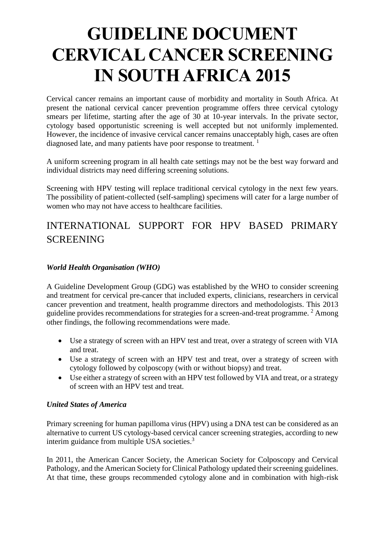# **GUIDELINE DOCUMENT CERVICAL CANCER SCREENING IN SOUTH AFRICA 2015**

Cervical cancer remains an important cause of morbidity and mortality in South Africa. At present the national cervical cancer prevention programme offers three cervical cytology smears per lifetime, starting after the age of 30 at 10-year intervals. In the private sector, cytology based opportunistic screening is well accepted but not uniformly implemented. However, the incidence of invasive cervical cancer remains unacceptably high, cases are often diagnosed late, and many patients have poor response to treatment.  $<sup>1</sup>$  $<sup>1</sup>$  $<sup>1</sup>$ </sup>

A uniform screening program in all health cate settings may not be the best way forward and individual districts may need differing screening solutions.

Screening with HPV testing will replace traditional cervical cytology in the next few years. The possibility of patient-collected (self-sampling) specimens will cater for a large number of women who may not have access to healthcare facilities.

# INTERNATIONAL SUPPORT FOR HPV BASED PRIMARY **SCREENING**

#### *World Health Organisation (WHO)*

A Guideline Development Group (GDG) was established by the WHO to consider screening and treatment for cervical pre-cancer that included experts, clinicians, researchers in cervical cancer prevention and treatment, health programme directors and methodologists. This 2013 guideline provides recommendations for strategies for a screen-and-treat programme. [2](#page-9-1) Among other findings, the following recommendations were made.

- Use a strategy of screen with an HPV test and treat, over a strategy of screen with VIA and treat.
- Use a strategy of screen with an HPV test and treat, over a strategy of screen with cytology followed by colposcopy (with or without biopsy) and treat.
- Use either a strategy of screen with an HPV test followed by VIA and treat, or a strategy of screen with an HPV test and treat.

#### *United States of America*

Primary screening for human papilloma virus (HPV) using a DNA test can be considered as an alternative to current US cytology-based cervical cancer screening strategies, according to new interim guidance from multiple USA societies[.](#page-9-2)<sup>3</sup>

In 2011, the American Cancer Society, the American Society for Colposcopy and Cervical Pathology, and the American Society for Clinical Pathology updated their screening guidelines. At that time, these groups recommended cytology alone and in combination with high-risk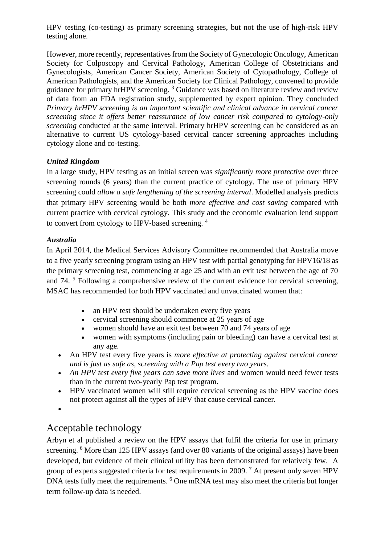HPV testing (co-testing) as primary screening strategies, but not the use of high-risk HPV testing alone.

However, more recently, representatives from the Society of Gynecologic Oncology, American Society for Colposcopy and Cervical Pathology, American College of Obstetricians and Gynecologists, American Cancer Society, American Society of Cytopathology, College of American Pathologists, and the American Society for Clinical Pathology, convened to provide guidance for primary hrHPV screening. [3](#page-9-2) Guidance was based on literature review and review of data from an FDA registration study, supplemented by expert opinion. They concluded *Primary hrHPV screening is an important scientific and clinical advance in cervical cancer screening since it offers better reassurance of low cancer risk compared to cytology-only screening* conducted at the same interval. Primary hrHPV screening can be considered as an alternative to current US cytology-based cervical cancer screening approaches including cytology alone and co-testing.

#### *United Kingdom*

In a large study, HPV testing as an initial screen was *significantly more protective* over three screening rounds (6 years) than the current practice of cytology. The use of primary HPV screening could *allow a safe lengthening of the screening interval*. Modelled analysis predicts that primary HPV screening would be both *more effective and cost saving* compared with current practice with cervical cytology. This study and the economic evaluation lend support to convert from cytology to HPV-based screening. <sup>[4](#page-9-3)</sup>

#### *Australia*

In April 2014, the Medical Services Advisory Committee recommended that Australia move to a five yearly screening program using an HPV test with partial genotyping for HPV16/18 as the primary screening test, commencing at age 25 and with an exit test between the age of 70 and 74.<sup>[5](#page-9-4)</sup> Following a comprehensive review of the current evidence for cervical screening, MSAC has recommended for both HPV vaccinated and unvaccinated women that:

- an HPV test should be undertaken every five years
- cervical screening should commence at 25 years of age
- women should have an exit test between 70 and 74 years of age
- women with symptoms (including pain or bleeding) can have a cervical test at any age.
- An HPV test every five years is *more effective at protecting against cervical cancer and is just as safe as, screening with a Pap test every two years*.
- *An HPV test every five years can save more lives* and women would need fewer tests than in the current two-yearly Pap test program.
- HPV vaccinated women will still require cervical screening as the HPV vaccine does not protect against all the types of HPV that cause cervical cancer.
- $\bullet$

### Acceptable technology

Arbyn et al published a review on the HPV assays that fulfil the criteria for use in primary screening. <sup>[6](#page-9-5)</sup> More than 125 HPV assays (and over 80 variants of the original assays) have been developed, but evidence of their clinical utility has been demonstrated for relatively few. A group of experts suggested criteria for test requirements in 2009.<sup>[7](#page-9-6)</sup> At present only seven HPV DNA tests fully meet the requirements. <sup>[6](#page-9-5)</sup> One mRNA test may also meet the criteria but longer term follow-up data is needed.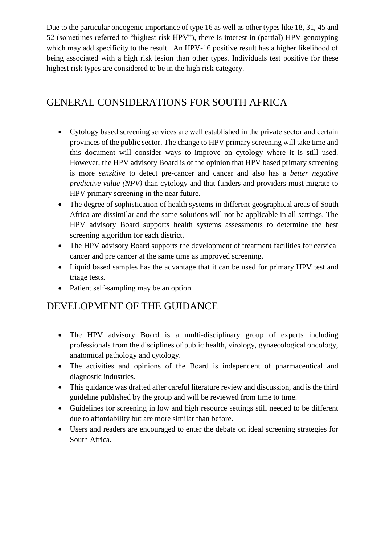Due to the particular oncogenic importance of type 16 as well as other types like 18, 31, 45 and 52 (sometimes referred to "highest risk HPV"), there is interest in (partial) HPV genotyping which may add specificity to the result. An HPV-16 positive result has a higher likelihood of being associated with a high risk lesion than other types. Individuals test positive for these highest risk types are considered to be in the high risk category.

### GENERAL CONSIDERATIONS FOR SOUTH AFRICA

- Cytology based screening services are well established in the private sector and certain provinces of the public sector. The change to HPV primary screening will take time and this document will consider ways to improve on cytology where it is still used. However, the HPV advisory Board is of the opinion that HPV based primary screening is more *sensitive* to detect pre-cancer and cancer and also has a *better negative predictive value (NPV)* than cytology and that funders and providers must migrate to HPV primary screening in the near future.
- The degree of sophistication of health systems in different geographical areas of South Africa are dissimilar and the same solutions will not be applicable in all settings. The HPV advisory Board supports health systems assessments to determine the best screening algorithm for each district.
- The HPV advisory Board supports the development of treatment facilities for cervical cancer and pre cancer at the same time as improved screening.
- Liquid based samples has the advantage that it can be used for primary HPV test and triage tests.
- Patient self-sampling may be an option

### DEVELOPMENT OF THE GUIDANCE

- The HPV advisory Board is a multi-disciplinary group of experts including professionals from the disciplines of public health, virology, gynaecological oncology, anatomical pathology and cytology.
- The activities and opinions of the Board is independent of pharmaceutical and diagnostic industries.
- This guidance was drafted after careful literature review and discussion, and is the third guideline published by the group and will be reviewed from time to time.
- Guidelines for screening in low and high resource settings still needed to be different due to affordability but are more similar than before.
- Users and readers are encouraged to enter the debate on ideal screening strategies for South Africa.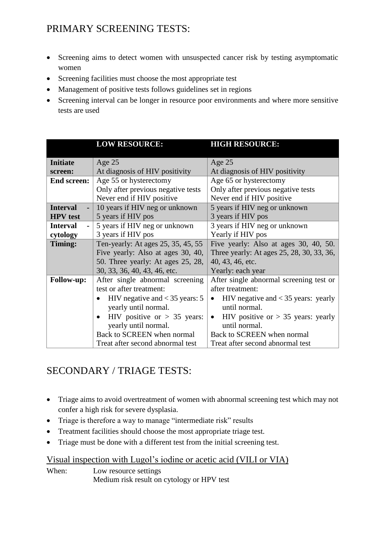# PRIMARY SCREENING TESTS:

- Screening aims to detect women with unsuspected cancer risk by testing asymptomatic women
- Screening facilities must choose the most appropriate test
- Management of positive tests follows guidelines set in regions
- Screening interval can be longer in resource poor environments and where more sensitive tests are used

|                    | <b>LOW RESOURCE:</b>               | <b>HIGH RESOURCE:</b>                             |
|--------------------|------------------------------------|---------------------------------------------------|
|                    |                                    |                                                   |
| <b>Initiate</b>    | Age $25$                           | Age $25$                                          |
| screen:            | At diagnosis of HIV positivity     | At diagnosis of HIV positivity                    |
| <b>End screen:</b> | Age 55 or hysterectomy             | Age 65 or hysterectomy                            |
|                    | Only after previous negative tests | Only after previous negative tests                |
|                    | Never end if HIV positive          | Never end if HIV positive                         |
| <b>Interval</b>    | 10 years if HIV neg or unknown     | 5 years if HIV neg or unknown                     |
| <b>HPV</b> test    | 5 years if HIV pos                 | 3 years if HIV pos                                |
| <b>Interval</b>    | 5 years if HIV neg or unknown      | 3 years if HIV neg or unknown                     |
| cytology           | 3 years if HIV pos                 | Yearly if HIV pos                                 |
| Timing:            | Ten-yearly: At ages 25, 35, 45, 55 | Five yearly: Also at ages 30, 40, 50.             |
|                    | Five yearly: Also at ages 30, 40,  | Three yearly: At ages 25, 28, 30, 33, 36,         |
|                    | 50. Three yearly: At ages 25, 28,  | 40, 43, 46, etc.                                  |
|                    | 30, 33, 36, 40, 43, 46, etc.       | Yearly: each year                                 |
| <b>Follow-up:</b>  | After single abnormal screening    | After single abnormal screening test or           |
|                    | test or after treatment:           | after treatment:                                  |
|                    | HIV negative and $<$ 35 years: 5   | HIV negative and $<$ 35 years: yearly             |
|                    | yearly until normal.               | until normal.                                     |
|                    | HIV positive or $> 35$ years:      | HIV positive or $> 35$ years: yearly<br>$\bullet$ |
|                    | yearly until normal.               | until normal.                                     |
|                    | Back to SCREEN when normal         | Back to SCREEN when normal                        |
|                    | Treat after second abnormal test   | Treat after second abnormal test                  |

# SECONDARY / TRIAGE TESTS:

- Triage aims to avoid overtreatment of women with abnormal screening test which may not confer a high risk for severe dysplasia.
- Triage is therefore a way to manage "intermediate risk" results
- Treatment facilities should choose the most appropriate triage test.
- Triage must be done with a different test from the initial screening test.

#### Visual inspection with Lugol's iodine or acetic acid (VILI or VIA)

When: Low resource settings Medium risk result on cytology or HPV test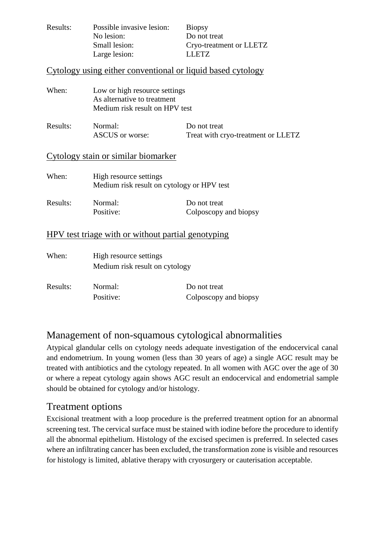| Results: | Possible invasive lesion: | <b>Biopsy</b>           |
|----------|---------------------------|-------------------------|
|          | No lesion:                | Do not treat            |
|          | Small lesion:             | Cryo-treatment or LLETZ |
|          | Large lesion:             | LLETZ.                  |

#### Cytology using either conventional or liquid based cytology

| When:                                              | Low or high resource settings<br>As alternative to treatment<br>Medium risk result on HPV test |                                                    |  |  |  |
|----------------------------------------------------|------------------------------------------------------------------------------------------------|----------------------------------------------------|--|--|--|
| Results:                                           | Normal:<br><b>ASCUS</b> or worse:                                                              | Do not treat<br>Treat with cryo-treatment or LLETZ |  |  |  |
| Cytology stain or similar biomarker                |                                                                                                |                                                    |  |  |  |
| When:                                              | High resource settings<br>Medium risk result on cytology or HPV test                           |                                                    |  |  |  |
| Results:                                           | Normal:<br>Positive:                                                                           | Do not treat<br>Colposcopy and biopsy              |  |  |  |
| HPV test triage with or without partial genotyping |                                                                                                |                                                    |  |  |  |
| When:                                              | High resource settings<br>Medium risk result on cytology                                       |                                                    |  |  |  |

| Results: | Normal:   | Do not treat          |
|----------|-----------|-----------------------|
|          | Positive: | Colposcopy and biopsy |

### Management of non-squamous cytological abnormalities

Atypical glandular cells on cytology needs adequate investigation of the endocervical canal and endometrium. In young women (less than 30 years of age) a single AGC result may be treated with antibiotics and the cytology repeated. In all women with AGC over the age of 30 or where a repeat cytology again shows AGC result an endocervical and endometrial sample should be obtained for cytology and/or histology.

#### Treatment options

Excisional treatment with a loop procedure is the preferred treatment option for an abnormal screening test. The cervical surface must be stained with iodine before the procedure to identify all the abnormal epithelium. Histology of the excised specimen is preferred. In selected cases where an infiltrating cancer has been excluded, the transformation zone is visible and resources for histology is limited, ablative therapy with cryosurgery or cauterisation acceptable.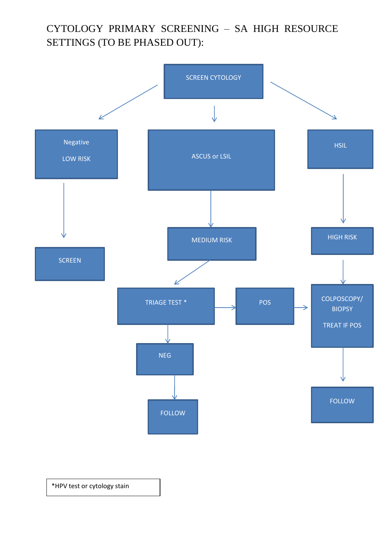# CYTOLOGY PRIMARY SCREENING – SA HIGH RESOURCE SETTINGS (TO BE PHASED OUT):



\*HPV test or cytology stain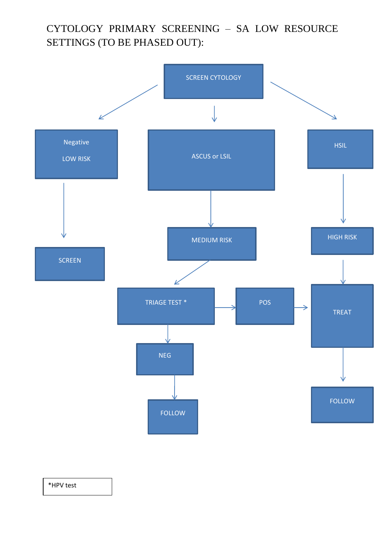# CYTOLOGY PRIMARY SCREENING – SA LOW RESOURCE SETTINGS (TO BE PHASED OUT):



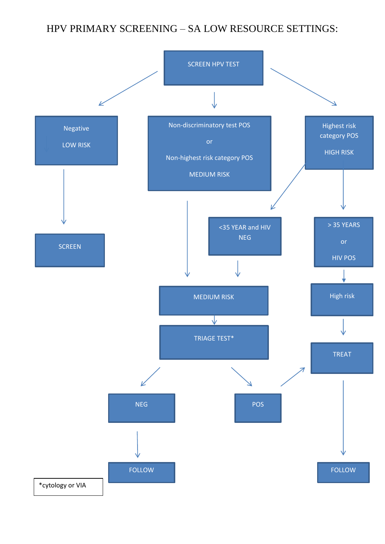### HPV PRIMARY SCREENING – SA LOW RESOURCE SETTINGS:

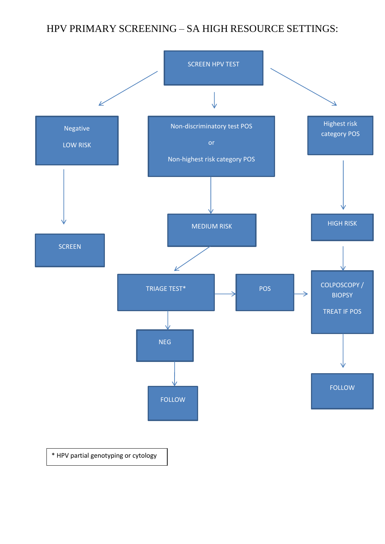# HPV PRIMARY SCREENING – SA HIGH RESOURCE SETTINGS: